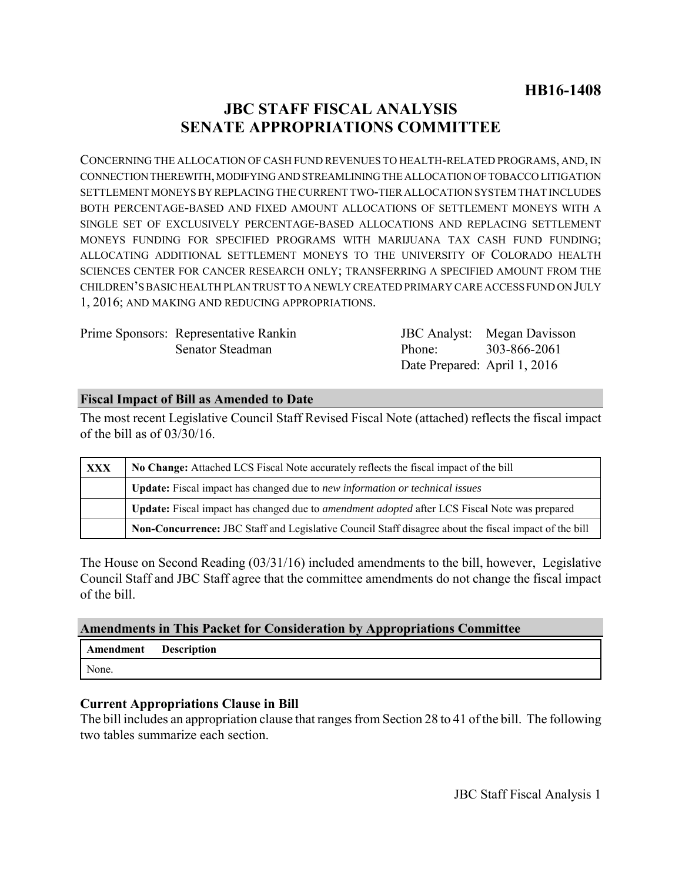# **JBC STAFF FISCAL ANALYSIS SENATE APPROPRIATIONS COMMITTEE**

CONCERNING THE ALLOCATION OF CASH FUND REVENUES TO HEALTH-RELATED PROGRAMS, AND, IN CONNECTION THEREWITH, MODIFYING AND STREAMLINING THE ALLOCATION OF TOBACCO LITIGATION SETTLEMENT MONEYS BY REPLACING THE CURRENT TWO-TIER ALLOCATION SYSTEM THAT INCLUDES BOTH PERCENTAGE-BASED AND FIXED AMOUNT ALLOCATIONS OF SETTLEMENT MONEYS WITH A SINGLE SET OF EXCLUSIVELY PERCENTAGE-BASED ALLOCATIONS AND REPLACING SETTLEMENT MONEYS FUNDING FOR SPECIFIED PROGRAMS WITH MARIJUANA TAX CASH FUND FUNDING; ALLOCATING ADDITIONAL SETTLEMENT MONEYS TO THE UNIVERSITY OF COLORADO HEALTH SCIENCES CENTER FOR CANCER RESEARCH ONLY; TRANSFERRING A SPECIFIED AMOUNT FROM THE CHILDREN'S BASIC HEALTH PLAN TRUST TO A NEWLY CREATED PRIMARY CARE ACCESS FUND ON JULY 1, 2016; AND MAKING AND REDUCING APPROPRIATIONS.

| Prime Sponsors: Representative Rankin |                              | <b>JBC</b> Analyst: Megan Davisson |
|---------------------------------------|------------------------------|------------------------------------|
| Senator Steadman                      | Phone: 303-866-2061          |                                    |
|                                       | Date Prepared: April 1, 2016 |                                    |

### **Fiscal Impact of Bill as Amended to Date**

The most recent Legislative Council Staff Revised Fiscal Note (attached) reflects the fiscal impact of the bill as of 03/30/16.

| XXX | No Change: Attached LCS Fiscal Note accurately reflects the fiscal impact of the bill                 |  |  |
|-----|-------------------------------------------------------------------------------------------------------|--|--|
|     | <b>Update:</b> Fiscal impact has changed due to new information or technical issues                   |  |  |
|     | Update: Fiscal impact has changed due to <i>amendment adopted</i> after LCS Fiscal Note was prepared  |  |  |
|     | Non-Concurrence: JBC Staff and Legislative Council Staff disagree about the fiscal impact of the bill |  |  |

The House on Second Reading (03/31/16) included amendments to the bill, however, Legislative Council Staff and JBC Staff agree that the committee amendments do not change the fiscal impact of the bill.

### **Amendments in This Packet for Consideration by Appropriations Committee**

| Amendment | <b>Description</b> |
|-----------|--------------------|
| None.     |                    |

### **Current Appropriations Clause in Bill**

The bill includes an appropriation clause that ranges from Section 28 to 41 of the bill. The following two tables summarize each section.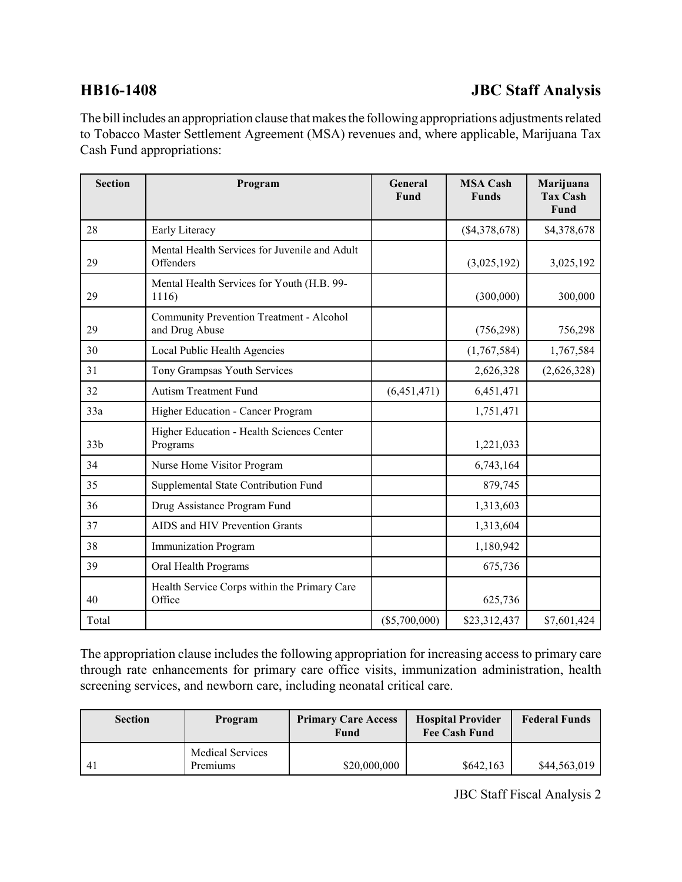## **HB16-1408 JBC Staff Analysis**

The bill includes an appropriation clause that makes the following appropriations adjustments related to Tobacco Master Settlement Agreement (MSA) revenues and, where applicable, Marijuana Tax Cash Fund appropriations:

| <b>Section</b>  | Program                                                    | General<br>Fund | <b>MSA Cash</b><br><b>Funds</b> | Marijuana<br><b>Tax Cash</b><br>Fund |
|-----------------|------------------------------------------------------------|-----------------|---------------------------------|--------------------------------------|
| 28              | Early Literacy                                             |                 | $(\$4,378,678)$                 | \$4,378,678                          |
| 29              | Mental Health Services for Juvenile and Adult<br>Offenders |                 | (3,025,192)                     | 3,025,192                            |
| 29              | Mental Health Services for Youth (H.B. 99-<br>1116)        |                 | (300,000)                       | 300,000                              |
| 29              | Community Prevention Treatment - Alcohol<br>and Drug Abuse |                 | (756, 298)                      | 756,298                              |
| 30              | Local Public Health Agencies                               |                 | (1,767,584)                     | 1,767,584                            |
| 31              | Tony Grampsas Youth Services                               |                 | 2,626,328                       | (2,626,328)                          |
| 32              | <b>Autism Treatment Fund</b>                               | (6, 451, 471)   | 6,451,471                       |                                      |
| 33a             | Higher Education - Cancer Program                          |                 | 1,751,471                       |                                      |
| 33 <sub>b</sub> | Higher Education - Health Sciences Center<br>Programs      |                 | 1,221,033                       |                                      |
| 34              | Nurse Home Visitor Program                                 |                 | 6,743,164                       |                                      |
| 35              | Supplemental State Contribution Fund                       |                 | 879,745                         |                                      |
| 36              | Drug Assistance Program Fund                               |                 | 1,313,603                       |                                      |
| 37              | AIDS and HIV Prevention Grants                             |                 | 1,313,604                       |                                      |
| 38              | <b>Immunization Program</b>                                |                 | 1,180,942                       |                                      |
| 39              | Oral Health Programs                                       |                 | 675,736                         |                                      |
| 40              | Health Service Corps within the Primary Care<br>Office     |                 | 625,736                         |                                      |
| Total           |                                                            | $(\$5,700,000)$ | \$23,312,437                    | \$7,601,424                          |

The appropriation clause includes the following appropriation for increasing access to primary care through rate enhancements for primary care office visits, immunization administration, health screening services, and newborn care, including neonatal critical care.

| <b>Section</b> | Program                             | <b>Primary Care Access</b><br>Fund | <b>Hospital Provider</b><br><b>Fee Cash Fund</b> | <b>Federal Funds</b> |
|----------------|-------------------------------------|------------------------------------|--------------------------------------------------|----------------------|
| -41            | <b>Medical Services</b><br>Premiums | \$20,000,000                       | \$642,163                                        | \$44,563,019         |

JBC Staff Fiscal Analysis 2